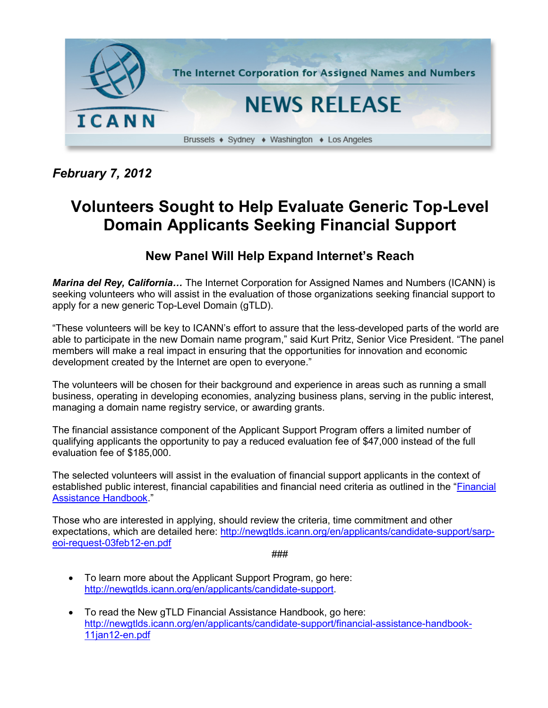

*February 7, 2012*

## **Volunteers Sought to Help Evaluate Generic Top-Level Domain Applicants Seeking Financial Support**

## **New Panel Will Help Expand Internet's Reach**

*Marina del Rey, California…* The Internet Corporation for Assigned Names and Numbers (ICANN) is seeking volunteers who will assist in the evaluation of those organizations seeking financial support to apply for a new generic Top-Level Domain (gTLD).

"These volunteers will be key to ICANN's effort to assure that the less-developed parts of the world are able to participate in the new Domain name program," said Kurt Pritz, Senior Vice President. "The panel members will make a real impact in ensuring that the opportunities for innovation and economic development created by the Internet are open to everyone."

The volunteers will be chosen for their background and experience in areas such as running a small business, operating in developing economies, analyzing business plans, serving in the public interest, managing a domain name registry service, or awarding grants.

The financial assistance component of the Applicant Support Program offers a limited number of qualifying applicants the opportunity to pay a reduced evaluation fee of \$47,000 instead of the full evaluation fee of \$185,000.

The selected volunteers will assist in the evaluation of financial support applicants in the context of established public interest, financial capabilities and financial need criteria as outlined in the ["Financial](http://newgtlds.icann.org/en/applicants/candidate-support/financial-assistance-handbook-11jan12-en.pdf)  [Assistance Handbook.](http://newgtlds.icann.org/en/applicants/candidate-support/financial-assistance-handbook-11jan12-en.pdf)"

Those who are interested in applying, should review the criteria, time commitment and other expectations, which are detailed here: [http://newgtlds.icann.org/en/applicants/candidate-support/sarp](http://newgtlds.icann.org/en/applicants/candidate-support/sarp-eoi-request-03feb12-en.pdf)[eoi-request-03feb12-en.pdf](http://newgtlds.icann.org/en/applicants/candidate-support/sarp-eoi-request-03feb12-en.pdf)

###

- To learn more about the Applicant Support Program, go here: [http://newgtlds.icann.org/en/applicants/candidate-support.](http://newgtlds.icann.org/en/applicants/candidate-support)
- To read the New gTLD Financial Assistance Handbook, go here: [http://newgtlds.icann.org/en/applicants/candidate-support/financial-assistance-handbook-](http://newgtlds.icann.org/en/applicants/candidate-support/financial-assistance-handbook-11jan12-en.pdf)[11jan12-en.pdf](http://newgtlds.icann.org/en/applicants/candidate-support/financial-assistance-handbook-11jan12-en.pdf)